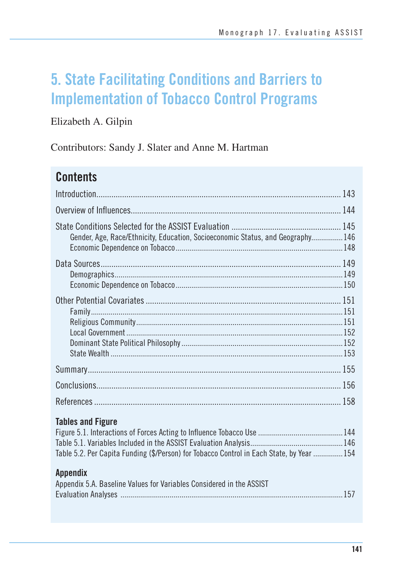# **5. State Facilitating Conditions and Barriers to Implementation of Tobacco Control Programs**

### Elizabeth A. Gilpin

Contributors: Sandy J. Slater and Anne M. Hartman

## **Contents**

| Gender, Age, Race/Ethnicity, Education, Socioeconomic Status, and Geography 146                                       |  |
|-----------------------------------------------------------------------------------------------------------------------|--|
|                                                                                                                       |  |
|                                                                                                                       |  |
|                                                                                                                       |  |
|                                                                                                                       |  |
|                                                                                                                       |  |
| <b>Tables and Figure</b><br>Table 5.2. Per Capita Funding (\$/Person) for Tobacco Control in Each State, by Year  154 |  |
| <b>Appendix</b><br>Appendix 5.A. Baseline Values for Variables Considered in the ASSIST                               |  |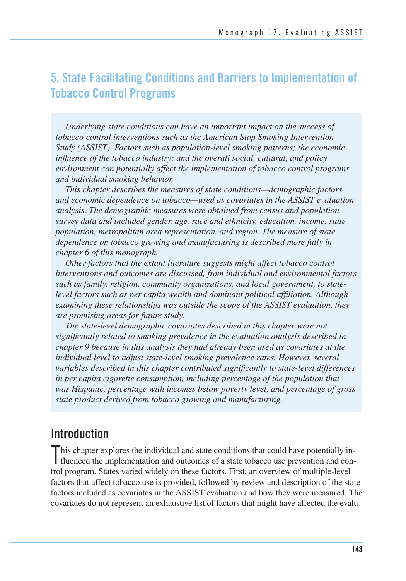### **5. State Facilitating Conditions and Barriers to Implementation of Tobacco Control Programs**

*Underlying state conditions can have an important impact on the success of tobacco control interventions such as the American Stop Smoking Intervention Study (ASSIST). Factors such as population-level smoking patterns; the economic influence of the tobacco industry; and the overall social, cultural, and policy environment can potentially affect the implementation of tobacco control programs and individual smoking behavior.* 

*This chapter describes the measures of state conditions—demographic factors and economic dependence on tobacco—used as covariates in the ASSIST evaluation analysis. The demographic measures were obtained from census and population survey data and included gender, age, race and ethnicity, education, income, state population, metropolitan area representation, and region. The measure of state dependence on tobacco growing and manufacturing is described more fully in chapter 6 of this monograph.* 

*Other factors that the extant literature suggests might affect tobacco control interventions and outcomes are discussed, from individual and environmental factors such as family, religion, community organizations, and local government, to statelevel factors such as per capita wealth and dominant political affiliation. Although examining these relationships was outside the scope of the ASSIST evaluation, they are promising areas for future study.* 

*The state-level demographic covariates described in this chapter were not significantly related to smoking prevalence in the evaluation analysis described in chapter 9 because in this analysis they had already been used as covariates at the individual level to adjust state-level smoking prevalence rates. However, several variables described in this chapter contributed significantly to state-level differences in per capita cigarette consumption, including percentage of the population that was Hispanic, percentage with incomes below poverty level, and percentage of gross state product derived from tobacco growing and manufacturing.* 

### **Introduction**

 his chapter explores the individual and state conditions that could have potentially in-This chapter explores the individual and state conditions that could have potentially in-<br>fluenced the implementation and outcomes of a state tobacco use prevention and con- trol program. States varied widely on these factors. First, an overview of multiple-level factors that affect tobacco use is provided, followed by review and description of the state factors included as covariates in the ASSIST evaluation and how they were measured. The covariates do not represent an exhaustive list of factors that might have affected the evalu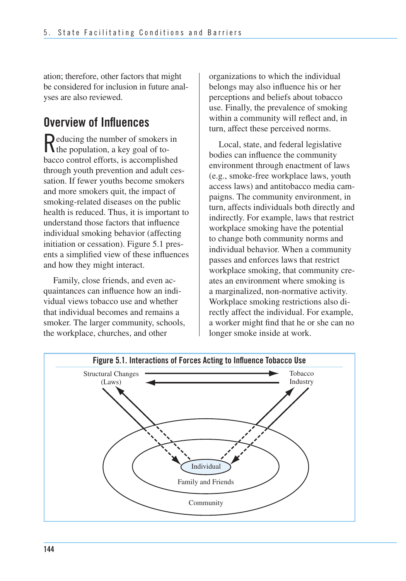ation; therefore, other factors that might be considered for inclusion in future anal-yses are also reviewed.

## **Overview of Influences**

Reducing the number of smokers in the population, a key goal of tobacco control efforts, is accomplished through youth prevention and adult cessation. If fewer youths become smokers and more smokers quit, the impact of smoking-related diseases on the public health is reduced. Thus, it is important to understand those factors that influence individual smoking behavior (affecting initiation or cessation). Figure 5.1 presents a simplified view of these influences and how they might interact.

Family, close friends, and even acquaintances can influence how an individual views tobacco use and whether that individual becomes and remains a smoker. The larger community, schools, the workplace, churches, and other

organizations to which the individual belongs may also influence his or her perceptions and beliefs about tobacco use. Finally, the prevalence of smoking within a community will reflect and, in turn, affect these perceived norms.

Local, state, and federal legislative bodies can influence the community environment through enactment of laws (e.g., smoke-free workplace laws, youth access laws) and antitobacco media campaigns. The community environment, in turn, affects individuals both directly and indirectly. For example, laws that restrict workplace smoking have the potential to change both community norms and individual behavior. When a community passes and enforces laws that restrict workplace smoking, that community creates an environment where smoking is a marginalized, non-normative activity. Workplace smoking restrictions also directly affect the individual. For example, a worker might find that he or she can no longer smoke inside at work.

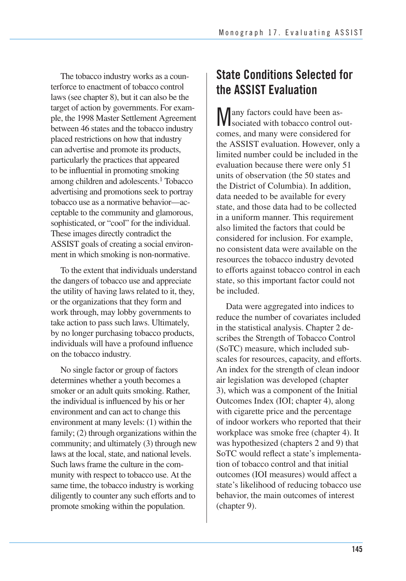The tobacco industry works as a coun- terforce to enactment of tobacco control laws (see chapter 8), but it can also be the target of action by governments. For exam- ple, the 1998 Master Settlement Agreement between 46 states and the tobacco industry placed restrictions on how that industry can advertise and promote its products, particularly the practices that appeared to be influential in promoting smoking among children and adolescents.<sup>1</sup> Tobacco advertising and promotions seek to portray tobacco use as a normative behavior—ac- ceptable to the community and glamorous, sophisticated, or "cool" for the individual. These images directly contradict the ASSIST goals of creating a social environ-ment in which smoking is non-normative.

 To the extent that individuals understand the dangers of tobacco use and appreciate the utility of having laws related to it, they, or the organizations that they form and work through, may lobby governments to take action to pass such laws. Ultimately, by no longer purchasing tobacco products, individuals will have a profound influence on the tobacco industry.

 No single factor or group of factors determines whether a youth becomes a smoker or an adult quits smoking. Rather, the individual is influenced by his or her environment and can act to change this family; (2) through organizations within the community; and ultimately (3) through new laws at the local, state, and national levels. Such laws frame the culture in the com- munity with respect to tobacco use. At the same time, the tobacco industry is working diligently to counter any such efforts and to promote smoking within the population. environment at many levels: (1) within the

## **State Conditions Selected for the ASSIST Evaluation**

Many factors could have been associated with tobacco control outcomes, and many were considered for the ASSIST evaluation. However, only a limited number could be included in the evaluation because there were only 51 units of observation (the 50 states and the District of Columbia). In addition, data needed to be available for every state, and those data had to be collected in a uniform manner. This requirement also limited the factors that could be considered for inclusion. For example, no consistent data were available on the resources the tobacco industry devoted to efforts against tobacco control in each state, so this important factor could not be included.

 Data were aggregated into indices to reduce the number of covariates included in the statistical analysis. Chapter 2 de- scribes the Strength of Tobacco Control (SoTC) measure, which included sub- scales for resources, capacity, and efforts. An index for the strength of clean indoor air legislation was developed (chapter 3), which was a component of the Initial Outcomes Index (IOI; chapter 4), along with cigarette price and the percentage of indoor workers who reported that their workplace was smoke free (chapter 4). It was hypothesized (chapters 2 and 9) that SoTC would reflect a state's implementa- tion of tobacco control and that initial outcomes (IOI measures) would affect a state's likelihood of reducing tobacco use behavior, the main outcomes of interest (chapter 9).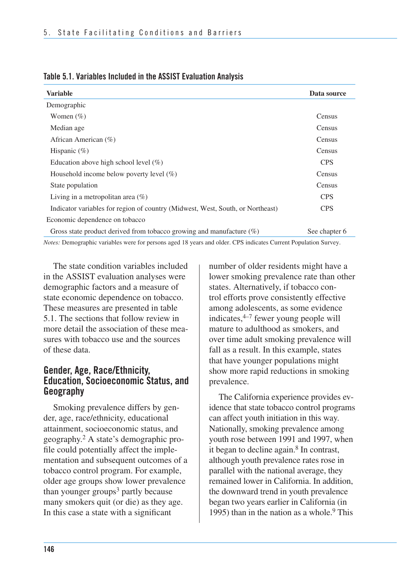| Data source   |
|---------------|
|               |
| Census        |
| Census        |
| Census        |
| <b>Census</b> |
| <b>CPS</b>    |
| Census        |
| Census        |
| <b>CPS</b>    |
| <b>CPS</b>    |
|               |
| See chapter 6 |
|               |

|  |  |  | Table 5.1. Variables Included in the ASSIST Evaluation Analysis |
|--|--|--|-----------------------------------------------------------------|
|--|--|--|-----------------------------------------------------------------|

*Notes:* Demographic variables were for persons aged 18 years and older. CPS indicates Current Population Survey.

The state condition variables included in the ASSIST evaluation analyses were demographic factors and a measure of state economic dependence on tobacco. These measures are presented in table 5.1. The sections that follow review in more detail the association of these measures with tobacco use and the sources of these data.

#### **Gender, Age, Race/Ethnicity, Education, Socioeconomic Status, and Geography**

Smoking prevalence differs by gender, age, race/ethnicity, educational attainment, socioeconomic status, and geography.2 A state's demographic profile could potentially affect the implementation and subsequent outcomes of a tobacco control program. For example, older age groups show lower prevalence than younger groups $3$  partly because many smokers quit (or die) as they age. In this case a state with a significant

number of older residents might have a lower smoking prevalence rate than other states. Alternatively, if tobacco control efforts prove consistently effective among adolescents, as some evidence indicates, $4-7$  fewer young people will mature to adulthood as smokers, and over time adult smoking prevalence will fall as a result. In this example, states that have younger populations might show more rapid reductions in smoking prevalence.

 The California experience provides ev- idence that state tobacco control programs can affect youth initiation in this way. Nationally, smoking prevalence among youth rose between 1991 and 1997, when it began to decline again.<sup>8</sup> In contrast, although youth prevalence rates rose in parallel with the national average, they remained lower in California. In addition, the downward trend in youth prevalence began two years earlier in California (in 1995) than in the nation as a whole. $9$  This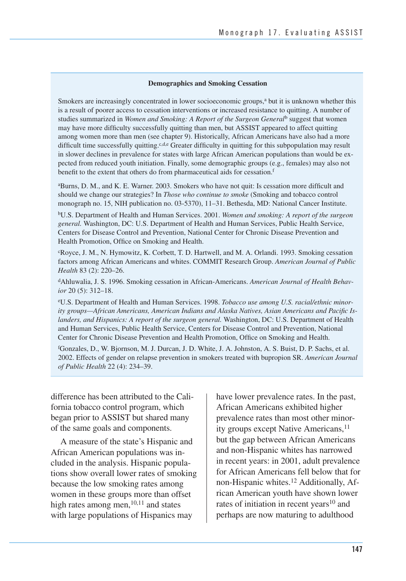#### **Demographics and Smoking Cessation**

Smokers are increasingly concentrated in lower socioeconomic groups,<sup>a</sup> but it is unknown whether this is a result of poorer access to cessation interventions or increased resistance to quitting. A number of studies summarized in *Women and Smoking: A Report of the Surgeon General*b suggest that women may have more difficulty successfully quitting than men, but ASSIST appeared to affect quitting among women more than men (see chapter 9). Historically, African Americans have also had a more difficult time successfully quitting.<sup>c,d,e</sup> Greater difficulty in quitting for this subpopulation may result in slower declines in prevalence for states with large African American populations than would be expected from reduced youth initiation. Finally, some demographic groups (e.g., females) may also not benefit to the extent that others do from pharmaceutical aids for cessation.<sup>f</sup>

aBurns, D. M., and K. E. Warner. 2003. Smokers who have not quit: Is cessation more difficult and should we change our strategies? In *Those who continue to smoke* (Smoking and tobacco control monograph no. 15, NIH publication no. 03-5370), 11–31. Bethesda, MD: National Cancer Institute.

bU.S. Department of Health and Human Services. 2001. *Women and smoking: A report of the surgeon general.* Washington, DC: U.S. Department of Health and Human Services, Public Health Service, Centers for Disease Control and Prevention, National Center for Chronic Disease Prevention and Health Promotion, Office on Smoking and Health.

cRoyce, J. M., N. Hymowitz, K. Corbett, T. D. Hartwell, and M. A. Orlandi. 1993. Smoking cessation factors among African Americans and whites. COMMIT Research Group. *American Journal of Public Health* 83 (2): 220–26.

dAhluwalia, J. S. 1996. Smoking cessation in African-Americans. *American Journal of Health Behavior* 20 (5): 312–18.

eU.S. Department of Health and Human Services. 1998. *Tobacco use among U.S. racial/ethnic minority groups—African Americans, American Indians and Alaska Natives, Asian Americans and Pacific Islanders, and Hispanics: A report of the surgeon general.* Washington, DC: U.S. Department of Health and Human Services, Public Health Service, Centers for Disease Control and Prevention, National Center for Chronic Disease Prevention and Health Promotion, Office on Smoking and Health.

f Gonzales, D., W. Bjornson, M. J. Durcan, J. D. White, J. A. Johnston, A. S. Buist, D. P. Sachs, et al. 2002. Effects of gender on relapse prevention in smokers treated with bupropion SR. *American Journal of Public Health* 22 (4): 234–39.

 difference has been attributed to the Cali- fornia tobacco control program, which began prior to ASSIST but shared many of the same goals and components.

 A measure of the state's Hispanic and African American populations was in- cluded in the analysis. Hispanic popula- tions show overall lower rates of smoking because the low smoking rates among women in these groups more than offset high rates among men,<sup>10,11</sup> and states with large populations of Hispanics may

 have lower prevalence rates. In the past, African Americans exhibited higher prevalence rates than most other minority groups except Native Americans,<sup>11</sup> but the gap between African Americans and non-Hispanic whites has narrowed in recent years: in 2001, adult prevalence for African Americans fell below that for non-Hispanic whites.<sup>12</sup> Additionally, Af- rican American youth have shown lower rates of initiation in recent years<sup>10</sup> and perhaps are now maturing to adulthood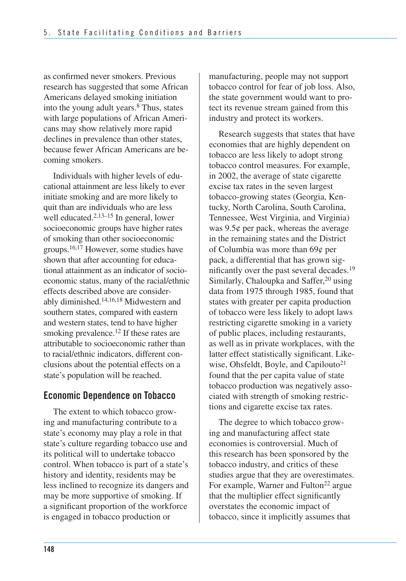as confirmed never smokers. Previous research has suggested that some African Americans delayed smoking initiation into the young adult years.8 Thus, states with large populations of African Ameri- cans may show relatively more rapid declines in prevalence than other states, because fewer African Americans are be coming smokers.

 Individuals with higher levels of edu- cational attainment are less likely to ever initiate smoking and are more likely to quit than are individuals who are less well educated.<sup>2,13–15</sup> In general, lower socioeconomic groups have higher rates of smoking than other socioeconomic groups.16,17 However, some studies have shown that after accounting for educa- tional attainment as an indicator of socio- economic status, many of the racial/ethnic effects described above are considerably diminished.<sup>14,16,18</sup> Midwestern and southern states, compared with eastern and western states, tend to have higher smoking prevalence.<sup>12</sup> If these rates are attributable to socioeconomic rather than to racial/ethnic indicators, different con- clusions about the potential effects on a state's population will be reached.

### **Economic Dependence on Tobacco**

The extent to which tobacco growing and manufacturing contribute to a state's economy may play a role in that state's culture regarding tobacco use and its political will to undertake tobacco control. When tobacco is part of a state's history and identity, residents may be less inclined to recognize its dangers and may be more supportive of smoking. If a significant proportion of the workforce is engaged in tobacco production or

manufacturing, people may not support tobacco control for fear of job loss. Also, the state government would want to protect its revenue stream gained from this industry and protect its workers.

Research suggests that states that have economies that are highly dependent on tobacco are less likely to adopt strong tobacco control measures. For example, in 2002, the average of state cigarette excise tax rates in the seven largest tobacco-growing states (Georgia, Kentucky, North Carolina, South Carolina, Tennessee, West Virginia, and Virginia) was  $9.5¢$  per pack, whereas the average in the remaining states and the District of Columbia was more than 69¢ per pack, a differential that has grown significantly over the past several decades.19 Similarly, Chaloupka and Saffer,<sup>20</sup> using data from 1975 through 1985, found that states with greater per capita production of tobacco were less likely to adopt laws restricting cigarette smoking in a variety of public places, including restaurants, as well as in private workplaces, with the latter effect statistically significant. Likewise, Ohsfeldt, Boyle, and Capilouto<sup>21</sup> found that the per capita value of state tobacco production was negatively associated with strength of smoking restrictions and cigarette excise tax rates.

The degree to which tobacco growing and manufacturing affect state economies is controversial. Much of this research has been sponsored by the tobacco industry, and critics of these studies argue that they are overestimates. For example, Warner and Fulton<sup>22</sup> argue that the multiplier effect significantly overstates the economic impact of tobacco, since it implicitly assumes that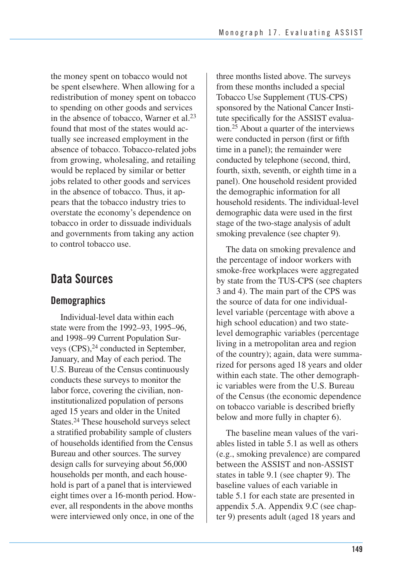the money spent on tobacco would not be spent elsewhere. When allowing for a redistribution of money spent on tobacco to spending on other goods and services in the absence of tobacco, Warner et al.23 found that most of the states would actually see increased employment in the absence of tobacco. Tobacco-related jobs from growing, wholesaling, and retailing would be replaced by similar or better jobs related to other goods and services in the absence of tobacco. Thus, it appears that the tobacco industry tries to overstate the economy's dependence on tobacco in order to dissuade individuals and governments from taking any action to control tobacco use.

### **Data Sources**

#### **Demographics**

 Individual-level data within each state were from the 1992–93, 1995–96, and 1998–99 Current Population Surveys (CPS),<sup>24</sup> conducted in September, January, and May of each period. The U.S. Bureau of the Census continuously conducts these surveys to monitor the labor force, covering the civilian, non- institutionalized population of persons aged 15 years and older in the United States.<sup>24</sup> These household surveys select a stratified probability sample of clusters of households identified from the Census Bureau and other sources. The survey design calls for surveying about 56,000 households per month, and each house- hold is part of a panel that is interviewed eight times over a 16-month period. How- ever, all respondents in the above months were interviewed only once, in one of the  three months listed above. The surveys from these months included a special Tobacco Use Supplement (TUS-CPS) sponsored by the National Cancer Insti- tute specifically for the ASSIST evalua- tion.25 About a quarter of the interviews were conducted in person (first or fifth time in a panel); the remainder were conducted by telephone (second, third, fourth, sixth, seventh, or eighth time in a panel). One household resident provided the demographic information for all household residents. The individual-level demographic data were used in the first stage of the two-stage analysis of adult smoking prevalence (see chapter 9).

The data on smoking prevalence and the percentage of indoor workers with smoke-free workplaces were aggregated by state from the TUS-CPS (see chapters 3 and 4). The main part of the CPS was the source of data for one individuallevel variable (percentage with above a high school education) and two statelevel demographic variables (percentage living in a metropolitan area and region of the country); again, data were summarized for persons aged 18 years and older within each state. The other demographic variables were from the U.S. Bureau of the Census (the economic dependence on tobacco variable is described briefly below and more fully in chapter 6).

The baseline mean values of the variables listed in table 5.1 as well as others (e.g., smoking prevalence) are compared between the ASSIST and non-ASSIST states in table 9.1 (see chapter 9). The baseline values of each variable in table 5.1 for each state are presented in appendix 5.A. Appendix 9.C (see chapter 9) presents adult (aged 18 years and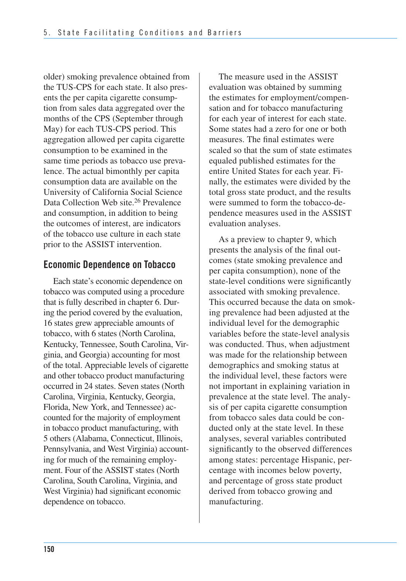older) smoking prevalence obtained from the TUS-CPS for each state. It also presents the per capita cigarette consumption from sales data aggregated over the months of the CPS (September through May) for each TUS-CPS period. This aggregation allowed per capita cigarette consumption to be examined in the same time periods as tobacco use prevalence. The actual bimonthly per capita consumption data are available on the University of California Social Science Data Collection Web site.<sup>26</sup> Prevalence and consumption, in addition to being the outcomes of interest, are indicators of the tobacco use culture in each state prior to the ASSIST intervention.

#### **Economic Dependence on Tobacco**

 Each state's economic dependence on tobacco was computed using a procedure that is fully described in chapter 6. Dur- ing the period covered by the evaluation, 16 states grew appreciable amounts of tobacco, with 6 states (North Carolina, Kentucky, Tennessee, South Carolina, Vir- ginia, and Georgia) accounting for most of the total. Appreciable levels of cigarette and other tobacco product manufacturing occurred in 24 states. Seven states (North Carolina, Virginia, Kentucky, Georgia, Florida, New York, and Tennessee) ac- counted for the majority of employment in tobacco product manufacturing, with 5 others (Alabama, Connecticut, Illinois, Pennsylvania, and West Virginia) account- ing for much of the remaining employ- ment. Four of the ASSIST states (North Carolina, South Carolina, Virginia, and West Virginia) had significant economic dependence on tobacco.

 The measure used in the ASSIST evaluation was obtained by summing the estimates for employment/compen- sation and for tobacco manufacturing for each year of interest for each state. Some states had a zero for one or both measures. The final estimates were scaled so that the sum of state estimates equaled published estimates for the entire United States for each year. Fi- nally, the estimates were divided by the total gross state product, and the results were summed to form the tobacco-de pendence measures used in the ASSIST evaluation analyses.

 As a preview to chapter 9, which presents the analysis of the final out- comes (state smoking prevalence and per capita consumption), none of the state-level conditions were significantly associated with smoking prevalence. This occurred because the data on smok- ing prevalence had been adjusted at the individual level for the demographic variables before the state-level analysis was conducted. Thus, when adjustment was made for the relationship between demographics and smoking status at the individual level, these factors were not important in explaining variation in prevalence at the state level. The analy sis of per capita cigarette consumption from tobacco sales data could be con- ducted only at the state level. In these analyses, several variables contributed significantly to the observed differences among states: percentage Hispanic, per- centage with incomes below poverty, and percentage of gross state product derived from tobacco growing and manufacturing.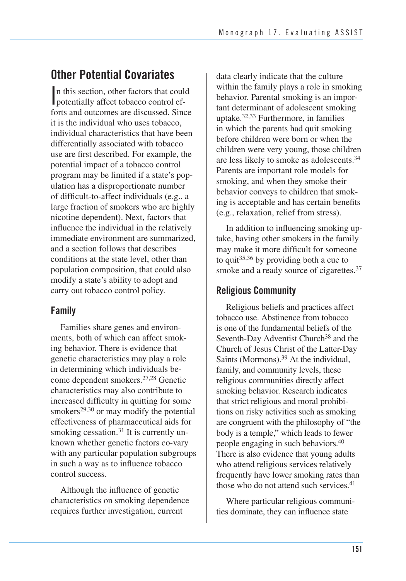### **Other Potential Covariates**

n this section, other factors that coursely potentially affect tobacco control of n this section, other factors that could forts and outcomes are discussed. Since it is the individual who uses tobacco, individual characteristics that have been differentially associated with tobacco use are first described. For example, the potential impact of a tobacco control program may be limited if a state's population has a disproportionate number of difficult-to-affect individuals (e.g., a large fraction of smokers who are highly nicotine dependent). Next, factors that influence the individual in the relatively immediate environment are summarized, and a section follows that describes conditions at the state level, other than population composition, that could also modify a state's ability to adopt and carry out tobacco control policy.

### **Family**

Families share genes and environments, both of which can affect smoking behavior. There is evidence that genetic characteristics may play a role in determining which individuals become dependent smokers.27,28 Genetic characteristics may also contribute to increased difficulty in quitting for some smokers<sup>29,30</sup> or may modify the potential effectiveness of pharmaceutical aids for smoking cessation.<sup>31</sup> It is currently unknown whether genetic factors co-vary with any particular population subgroups in such a way as to influence tobacco control success.

Although the influence of genetic characteristics on smoking dependence requires further investigation, current

data clearly indicate that the culture within the family plays a role in smoking behavior. Parental smoking is an important determinant of adolescent smoking uptake.32,33 Furthermore, in families in which the parents had quit smoking before children were born or when the children were very young, those children are less likely to smoke as adolescents.34 Parents are important role models for smoking, and when they smoke their behavior conveys to children that smoking is acceptable and has certain benefits (e.g., relaxation, relief from stress).

In addition to influencing smoking uptake, having other smokers in the family may make it more difficult for someone to quit<sup>35,36</sup> by providing both a cue to smoke and a ready source of cigarettes.<sup>37</sup>

#### **Religious Community**

 Religious beliefs and practices affect tobacco use. Abstinence from tobacco is one of the fundamental beliefs of the Seventh-Day Adventist Church<sup>38</sup> and the Church of Jesus Christ of the Latter-Day Saints (Mormons).<sup>39</sup> At the individual, family, and community levels, these religious communities directly affect smoking behavior. Research indicates that strict religious and moral prohibi tions on risky activities such as smoking are congruent with the philosophy of "the body is a temple," which leads to fewer people engaging in such behaviors.40 There is also evidence that young adults who attend religious services relatively frequently have lower smoking rates than those who do not attend such services.<sup>41</sup>

Where particular religious communi ties dominate, they can influence state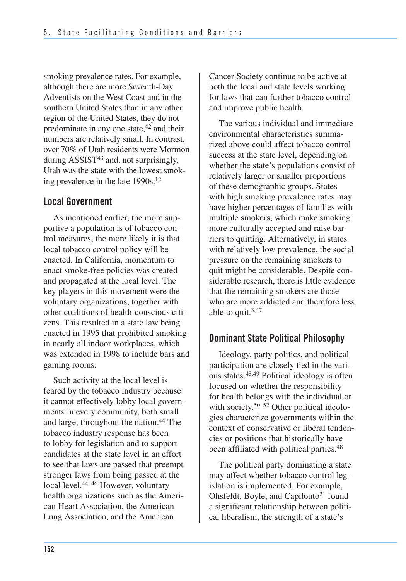smoking prevalence rates. For example, although there are more Seventh-Day Adventists on the West Coast and in the southern United States than in any other region of the United States, they do not predominate in any one state,<sup>42</sup> and their numbers are relatively small. In contrast, over 70% of Utah residents were Mormon during ASSIST<sup>43</sup> and, not surprisingly, Utah was the state with the lowest smoking prevalence in the late 1990s.<sup>12</sup>

#### **Local Government**

As mentioned earlier, the more supportive a population is of tobacco control measures, the more likely it is that local tobacco control policy will be enacted. In California, momentum to enact smoke-free policies was created and propagated at the local level. The key players in this movement were the voluntary organizations, together with other coalitions of health-conscious citizens. This resulted in a state law being enacted in 1995 that prohibited smoking in nearly all indoor workplaces, which was extended in 1998 to include bars and gaming rooms.

Such activity at the local level is feared by the tobacco industry because it cannot effectively lobby local governments in every community, both small and large, throughout the nation.44 The tobacco industry response has been to lobby for legislation and to support candidates at the state level in an effort to see that laws are passed that preempt stronger laws from being passed at the local level.<sup>44–46</sup> However, voluntary health organizations such as the American Heart Association, the American Lung Association, and the American

Cancer Society continue to be active at both the local and state levels working for laws that can further tobacco control and improve public health.

The various individual and immediate environmental characteristics summarized above could affect tobacco control success at the state level, depending on whether the state's populations consist of relatively larger or smaller proportions of these demographic groups. States with high smoking prevalence rates may have higher percentages of families with multiple smokers, which make smoking more culturally accepted and raise barriers to quitting. Alternatively, in states with relatively low prevalence, the social pressure on the remaining smokers to quit might be considerable. Despite considerable research, there is little evidence that the remaining smokers are those who are more addicted and therefore less able to quit.3,47

#### **Dominant State Political Philosophy**

Ideology, party politics, and political participation are closely tied in the various states.48,49 Political ideology is often focused on whether the responsibility for health belongs with the individual or with society.<sup>50–52</sup> Other political ideologies characterize governments within the context of conservative or liberal tendencies or positions that historically have been affiliated with political parties.<sup>48</sup>

The political party dominating a state may affect whether tobacco control legislation is implemented. For example, Ohsfeldt, Boyle, and Capilouto<sup>21</sup> found a significant relationship between political liberalism, the strength of a state's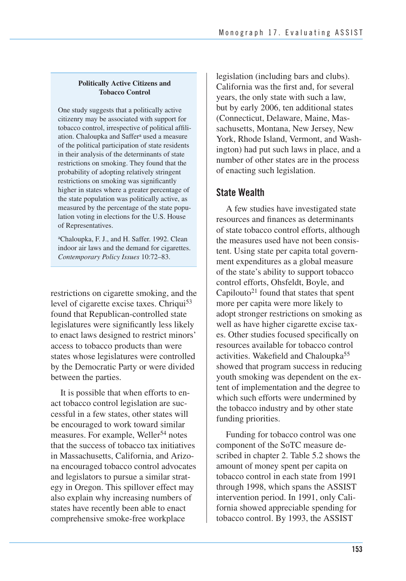#### **Politically Active Citizens and Tobacco Control**

One study suggests that a politically active citizenry may be associated with support for tobacco control, irrespective of political affiliation. Chaloupka and Saffer<sup>a</sup> used a measure of the political participation of state residents in their analysis of the determinants of state restrictions on smoking. They found that the probability of adopting relatively stringent restrictions on smoking was significantly higher in states where a greater percentage of the state population was politically active, as measured by the percentage of the state population voting in elections for the U.S. House of Representatives.

aChaloupka, F. J., and H. Saffer. 1992. Clean indoor air laws and the demand for cigarettes. *Contemporary Policy Issues* 10:72–83.

restrictions on cigarette smoking, and the level of cigarette excise taxes. Chriqui<sup>53</sup> found that Republican-controlled state legislatures were significantly less likely to enact laws designed to restrict minors' access to tobacco products than were states whose legislatures were controlled by the Democratic Party or were divided between the parties.

It is possible that when efforts to enact tobacco control legislation are successful in a few states, other states will be encouraged to work toward similar measures. For example, Weller<sup>54</sup> notes that the success of tobacco tax initiatives in Massachusetts, California, and Arizona encouraged tobacco control advocates and legislators to pursue a similar strategy in Oregon. This spillover effect may also explain why increasing numbers of states have recently been able to enact comprehensive smoke-free workplace

legislation (including bars and clubs). California was the first and, for several years, the only state with such a law, but by early 2006, ten additional states (Connecticut, Delaware, Maine, Massachusetts, Montana, New Jersey, New York, Rhode Island, Vermont, and Washington) had put such laws in place, and a number of other states are in the process of enacting such legislation.

#### **State Wealth**

A few studies have investigated state resources and finances as determinants of state tobacco control efforts, although the measures used have not been consistent. Using state per capita total government expenditures as a global measure of the state's ability to support tobacco control efforts, Ohsfeldt, Boyle, and Capilouto<sup>21</sup> found that states that spent more per capita were more likely to adopt stronger restrictions on smoking as well as have higher cigarette excise taxes. Other studies focused specifically on resources available for tobacco control activities. Wakefield and Chaloupka<sup>55</sup> showed that program success in reducing youth smoking was dependent on the extent of implementation and the degree to which such efforts were undermined by the tobacco industry and by other state funding priorities.

Funding for tobacco control was one component of the SoTC measure described in chapter 2. Table 5.2 shows the amount of money spent per capita on tobacco control in each state from 1991 through 1998, which spans the ASSIST intervention period. In 1991, only California showed appreciable spending for tobacco control. By 1993, the ASSIST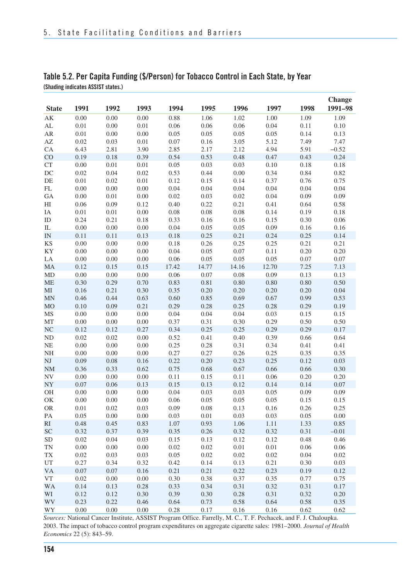|                |          |      |      |       |       |          |       |      | Change  |
|----------------|----------|------|------|-------|-------|----------|-------|------|---------|
| <b>State</b>   | 1991     | 1992 | 1993 | 1994  | 1995  | 1996     | 1997  | 1998 | 1991-98 |
| AK             | 0.00     | 0.00 | 0.00 | 0.88  | 1.06  | 1.02     | 1.00  | 1.09 | 1.09    |
| AL             | 0.01     | 0.00 | 0.01 | 0.06  | 0.06  | 0.06     | 0.04  | 0.11 | 0.10    |
| AR             | 0.01     | 0.00 | 0.00 | 0.05  | 0.05  | 0.05     | 0.05  | 0.14 | 0.13    |
| AZ             | 0.02     | 0.03 | 0.01 | 0.07  | 0.16  | 3.05     | 5.12  | 7.49 | 7.47    |
| CA             | 6.43     | 2.81 | 3.90 | 2.85  | 2.17  | 2.12     | 4.94  | 5.91 | $-0.52$ |
| CO             | 0.19     | 0.18 | 0.39 | 0.54  | 0.53  | 0.48     | 0.47  | 0.43 | 0.24    |
| CT             | 0.00     | 0.01 | 0.01 | 0.05  | 0.03  | 0.03     | 0.10  | 0.18 | 0.18    |
| DC             | 0.02     | 0.04 | 0.02 | 0.53  | 0.44  | 0.00     | 0.34  | 0.84 | 0.82    |
| DE             | 0.01     | 0.02 | 0.01 | 0.12  | 0.15  | 0.14     | 0.37  | 0.76 | 0.75    |
| FL             | 0.00     | 0.00 | 0.00 | 0.04  | 0.04  | 0.04     | 0.04  | 0.04 | 0.04    |
| GA             | 0.00     | 0.01 | 0.00 | 0.02  | 0.03  | 0.02     | 0.04  | 0.09 | 0.09    |
| HI             | 0.06     | 0.09 | 0.12 | 0.40  | 0.22  | 0.21     | 0.41  | 0.64 | 0.58    |
| IA             | 0.01     | 0.01 | 0.00 | 0.08  | 0.08  | 0.08     | 0.14  | 0.19 | 0.18    |
| ID             | 0.24     | 0.21 | 0.18 | 0.33  | 0.16  | 0.16     | 0.15  | 0.30 | 0.06    |
| IL             | 0.00     | 0.00 | 0.00 | 0.04  | 0.05  | 0.05     | 0.09  | 0.16 | 0.16    |
| $\text{IN}{}$  | 0.11     | 0.11 | 0.13 | 0.18  | 0.25  | 0.21     | 0.24  | 0.25 | 0.14    |
| KS             | 0.00     | 0.00 | 0.00 | 0.18  | 0.26  | 0.25     | 0.25  | 0.21 | 0.21    |
| KY             | 0.00     | 0.00 | 0.00 | 0.04  | 0.05  | 0.07     | 0.11  | 0.20 | 0.20    |
| LA             | 0.00     | 0.00 | 0.00 | 0.06  | 0.05  | 0.05     | 0.05  | 0.07 | 0.07    |
| MA             | 0.12     | 0.15 | 0.15 | 17.42 | 14.77 | 14.16    | 12.70 | 7.25 | 7.13    |
| MD             | 0.00     | 0.00 | 0.00 | 0.06  | 0.07  | 0.08     | 0.09  | 0.13 | 0.13    |
| <b>ME</b>      | 0.30     | 0.29 | 0.70 | 0.83  | 0.81  | $0.80\,$ | 0.80  | 0.80 | 0.50    |
| MI             | 0.16     | 0.21 | 0.30 | 0.35  | 0.20  | 0.20     | 0.20  | 0.20 | 0.04    |
| <b>MN</b>      | 0.46     | 0.44 | 0.63 | 0.60  | 0.85  | 0.69     | 0.67  | 0.99 | 0.53    |
| M <sub>O</sub> | 0.10     | 0.09 | 0.21 | 0.29  | 0.28  | 0.25     | 0.28  | 0.29 | 0.19    |
| MS             | 0.00     | 0.00 | 0.00 | 0.04  | 0.04  | 0.04     | 0.03  | 0.15 | 0.15    |
| MT             | 0.00     | 0.00 | 0.00 | 0.37  | 0.31  | 0.30     | 0.29  | 0.50 | 0.50    |
| NC             | 0.12     | 0.12 | 0.27 | 0.34  | 0.25  | 0.25     | 0.29  | 0.29 | 0.17    |
| ND             | 0.02     | 0.02 | 0.00 | 0.52  | 0.41  | 0.40     | 0.39  | 0.66 | 0.64    |
| NE             | 0.00     | 0.00 | 0.00 | 0.25  | 0.28  | 0.31     | 0.34  | 0.41 | 0.41    |
| NH             | 0.00     | 0.00 | 0.00 | 0.27  | 0.27  | 0.26     | 0.25  | 0.35 | 0.35    |
| NJ             | 0.09     | 0.08 | 0.16 | 0.22  | 0.20  | 0.23     | 0.25  | 0.12 | 0.03    |
| <b>NM</b>      | 0.36     | 0.33 | 0.62 | 0.75  | 0.68  | 0.67     | 0.66  | 0.66 | 0.30    |
| NV             | 0.00     | 0.00 | 0.00 | 0.11  | 0.15  | 0.11     | 0.06  | 0.20 | 0.20    |
| NY             | 0.07     | 0.06 | 0.13 | 0.15  | 0.13  | 0.12     | 0.14  | 0.14 | 0.07    |
| OН             | $0.00\,$ | 0.00 | 0.00 | 0.04  | 0.03  | 0.03     | 0.05  | 0.09 | 0.09    |
| OK             | 0.00     | 0.00 | 0.00 | 0.06  | 0.05  | 0.05     | 0.05  | 0.15 | 0.15    |
| <b>OR</b>      | 0.01     | 0.02 | 0.03 | 0.09  | 0.08  | 0.13     | 0.16  | 0.26 | 0.25    |
| PA             | 0.05     | 0.00 | 0.00 | 0.03  | 0.01  | 0.03     | 0.03  | 0.05 | 0.00    |
| RI             | 0.48     | 0.45 | 0.83 | 1.07  | 0.93  | 1.06     | 1.11  | 1.33 | 0.85    |
| <b>SC</b>      | 0.32     | 0.37 | 0.39 | 0.35  | 0.26  | 0.32     | 0.32  | 0.31 | $-0.01$ |
| <b>SD</b>      | 0.02     | 0.04 | 0.03 | 0.15  | 0.13  | 0.12     | 0.12  | 0.48 | 0.46    |
| TN             | 0.00     | 0.00 | 0.00 | 0.02  | 0.02  | 0.01     | 0.01  | 0.06 | 0.06    |
| TX             | 0.02     | 0.03 | 0.03 | 0.05  | 0.02  | 0.02     | 0.02  | 0.04 | 0.02    |
| UT             | 0.27     | 0.34 | 0.32 | 0.42  | 0.14  | 0.13     | 0.21  | 0.30 | 0.03    |
| VA             | 0.07     | 0.07 | 0.16 | 0.21  | 0.21  | 0.22     | 0.23  | 0.19 | 0.12    |
| VT             | 0.02     | 0.00 | 0.00 | 0.30  | 0.38  | 0.37     | 0.35  | 0.77 | 0.75    |
| WA             | 0.14     | 0.13 | 0.28 | 0.33  | 0.34  | 0.31     | 0.32  | 0.31 | 0.17    |
| WI             | 0.12     | 0.12 | 0.30 | 0.39  | 0.30  | 0.28     | 0.31  | 0.32 | 0.20    |
| WV             | 0.23     | 0.22 | 0.46 | 0.64  | 0.73  | 0.58     | 0.64  | 0.58 | 0.35    |
| WY             | 0.00     | 0.00 | 0.00 | 0.28  | 0.17  | 0.16     | 0.16  | 0.62 | 0.62    |

#### **Table 5.2. Per Capita Funding (\$/Person) for Tobacco Control in Each State, by Year (Shading indicates ASSIST states.)**

*Sources:* National Cancer Institute, ASSIST Program Office. Farrelly, M. C., T. F. Pechacek, and F. J. Chaloupka. 2003. The impact of tobacco control program expenditures on aggregate cigarette sales: 1981–2000. *Journal of Health Economics* 22 (5): 843–59.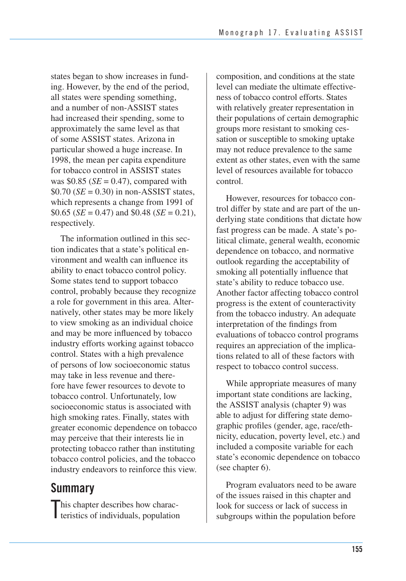states began to show increases in funding. However, by the end of the period, all states were spending something, and a number of non-ASSIST states had increased their spending, some to approximately the same level as that of some ASSIST states. Arizona in particular showed a huge increase. In 1998, the mean per capita expenditure for tobacco control in ASSIST states was  $$0.85$  ( $SE = 0.47$ ), compared with  $$0.70$  (*SE* = 0.30) in non-ASSIST states, which represents a change from 1991 of  $$0.65$  (*SE* = 0.47) and \$0.48 (*SE* = 0.21), respectively.

The information outlined in this section indicates that a state's political environment and wealth can influence its ability to enact tobacco control policy. Some states tend to support tobacco control, probably because they recognize a role for government in this area. Alternatively, other states may be more likely to view smoking as an individual choice and may be more influenced by tobacco industry efforts working against tobacco control. States with a high prevalence of persons of low socioeconomic status may take in less revenue and therefore have fewer resources to devote to tobacco control. Unfortunately, low socioeconomic status is associated with high smoking rates. Finally, states with greater economic dependence on tobacco may perceive that their interests lie in protecting tobacco rather than instituting tobacco control policies, and the tobacco industry endeavors to reinforce this view.

### **Summary**

This chapter describes how charac<br>teristics of individuals, population teristics of individuals, population

 composition, and conditions at the state level can mediate the ultimate effective- ness of tobacco control efforts. States with relatively greater representation in their populations of certain demographic groups more resistant to smoking ces- sation or susceptible to smoking uptake may not reduce prevalence to the same extent as other states, even with the same level of resources available for tobacco control.

However, resources for tobacco control differ by state and are part of the underlying state conditions that dictate how fast progress can be made. A state's political climate, general wealth, economic dependence on tobacco, and normative outlook regarding the acceptability of smoking all potentially influence that state's ability to reduce tobacco use. Another factor affecting tobacco control progress is the extent of counteractivity from the tobacco industry. An adequate interpretation of the findings from evaluations of tobacco control programs requires an appreciation of the implications related to all of these factors with respect to tobacco control success.

While appropriate measures of many important state conditions are lacking, the ASSIST analysis (chapter 9) was able to adjust for differing state demographic profiles (gender, age, race/ethnicity, education, poverty level, etc.) and included a composite variable for each state's economic dependence on tobacco (see chapter 6).

Program evaluators need to be aware of the issues raised in this chapter and look for success or lack of success in subgroups within the population before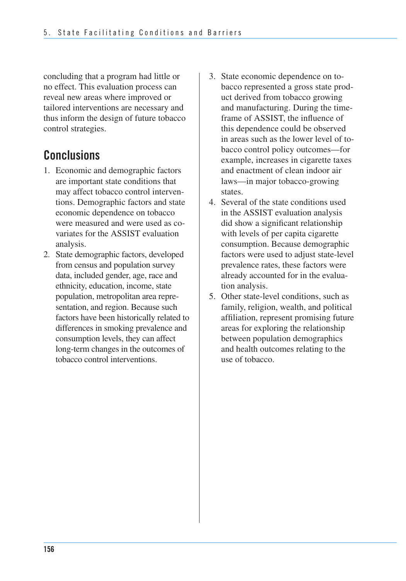concluding that a program had little or no effect. This evaluation process can reveal new areas where improved or tailored interventions are necessary and thus inform the design of future tobacco control strategies.

### **Conclusions**

- 1. Economic and demographic factors are important state conditions that may affect tobacco control interventions. Demographic factors and state economic dependence on tobacco were measured and were used as covariates for the ASSIST evaluation analysis.
- 2. State demographic factors, developed from census and population survey data, included gender, age, race and ethnicity, education, income, state population, metropolitan area repre- sentation, and region. Because such factors have been historically related to differences in smoking prevalence and consumption levels, they can affect long-term changes in the outcomes of tobacco control interventions.
- 3. State economic dependence on to bacco represented a gross state prod- uct derived from tobacco growing and manufacturing. During the time- frame of ASSIST, the influence of this dependence could be observed in areas such as the lower level of to- bacco control policy outcomes—for example, increases in cigarette taxes and enactment of clean indoor air laws—in major tobacco-growing states.
- 4. Several of the state conditions used in the ASSIST evaluation analysis did show a significant relationship with levels of per capita cigarette consumption. Because demographic factors were used to adjust state-level prevalence rates, these factors were already accounted for in the evaluation analysis.
- 5. Other state-level conditions, such as family, religion, wealth, and political affiliation, represent promising future areas for exploring the relationship between population demographics and health outcomes relating to the use of tobacco.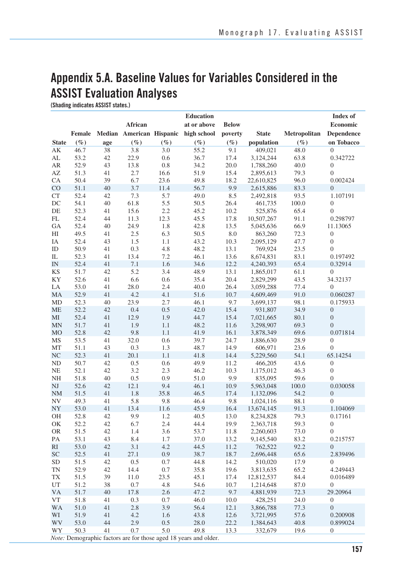## **Appendix 5.A. Baseline Values for Variables Considered in the ASSIST Evaluation Analyses**

**(Shading indicates ASSIST states.)** 

|                | Education     |          |                          |                |               |              |                        | <b>Index of</b> |                              |
|----------------|---------------|----------|--------------------------|----------------|---------------|--------------|------------------------|-----------------|------------------------------|
|                |               |          | African                  |                | at or above   | <b>Below</b> |                        |                 | <b>Economic</b>              |
|                | <b>Female</b> |          | Median American Hispanic |                | high school   | poverty      | <b>State</b>           | Metropolitan    | Dependence                   |
| <b>State</b>   | $(\%)$        | age      | $(\%)$                   | $(\%)$         | $(\%)$        | $(\%)$       | population             | $(\%)$          | on Tobacco                   |
| AK             | 46.7          | 38       | 3.8                      | 3.0            | 55.2          | 9.1          | 409,021                | 48.0            | $\boldsymbol{0}$             |
| AL             | 53.2          | 42       | 22.9                     | 0.6            | 36.7          | 17.4         | 3,124,244              | 63.8            | 0.342722                     |
| AR             | 52.9          | 43       | 13.8                     | 0.8            | 34.2          | 20.0         | 1,788,260              | 40.0            | $\boldsymbol{0}$             |
| AZ             | 51.3          | 41       | 2.7                      | 16.6           | 51.9          | 15.4         | 2,895,613              | 79.3            | $\overline{0}$               |
| CA             | 50.4          | 39       | 6.7                      | 23.6           | 49.8          | 18.2         | 22,610,825             | 96.0            | 0.002424                     |
| CO             | 51.1          | 40       | 3.7                      | 11.4           | 56.7          | 9.9          | 2,615,886              | 83.3            | $\boldsymbol{0}$             |
| <b>CT</b>      | 52.4          | 42       | 7.3                      | 5.7            | 49.0          | 8.5          | 2,492,818              | 93.5            | 1.107191                     |
| DC             | 54.1          | 40       | 61.8                     | 5.5            | 50.5          | 26.4         | 461,735                | 100.0           | $\boldsymbol{0}$             |
| DE             | 52.3          | 41       | 15.6                     | 2.2            | 45.2          | 10.2         | 525,876                | 65.4            | $\overline{0}$               |
| FL             | 52.4          | 44       | 11.3                     | 12.3           | 45.5          | 17.8         | 10,507,267             | 91.1            | 0.298797                     |
| GA             | 52.4          | 40       | 24.9                     | 1.8            | 42.8          | 13.5         | 5,045,636              | 66.9            | 11.13065                     |
| HI             | 49.5          | 41       | 2.5                      | 6.3            | 50.5          | 8.0          | 863,260                | 72.3            | $\boldsymbol{0}$             |
| IA             | 52.4          | 43       | 1.5                      | 1.1            | 43.2          | 10.3         | 2,095,129              | 47.7            | $\boldsymbol{0}$             |
| ID             | 50.9          | 41       | 0.3                      | 4.8            | 48.2          | 13.1         | 769,924                | 23.5            | $\overline{0}$               |
| IL             | 52.3          | 41       | 13.4                     | 7.2            | 46.1          | 13.6         | 8,674,831              | 83.1            | 0.197492                     |
| <b>IN</b>      | 52.4          | 41       | 7.1                      | 1.6            | 34.6          | 12.2         | 4,240,393              | 65.4            | 0.32914                      |
| <b>KS</b>      | 51.7          | 42       | 5.2                      | 3.4            | 48.9          | 13.1         | 1,865,017              | 61.1            | $\boldsymbol{0}$             |
| KY             | 52.6          | 41       | 6.6                      | 0.6            | 35.4          | 20.4         | 2,829,299              | 43.5            | 34.32137                     |
| LA             | 53.0          | 41       | 28.0                     | 2.4            | 40.0          | 26.4         | 3,059,288              | 77.4            | $\boldsymbol{0}$             |
| MA             | 52.9          | 41       | 4.2                      | 4.1            | 51.6          | 10.7         | 4,609,469              | 91.0            | 0.060287                     |
| MD             | 52.3          | 40       | 23.9                     | 2.7            | 46.1          | 9.7          | 3,699,137              | 98.1            | 0.175933                     |
| <b>ME</b>      | 52.2          | 42       | 0.4                      | 0.5            | 42.0          | 15.4         | 931,807                | 34.9            | $\boldsymbol{0}$             |
| MI             | 52.4          | 41       | 12.9                     | 1.9            | 44.7          | 15.4         | 7,021,665              | 80.1            | $\boldsymbol{0}$             |
| <b>MN</b>      | 51.7          | 41       | 1.9                      | 1.1            | 48.2          | 11.6         | 3,298,907<br>3,878,349 | 69.3            | $\mathbf{0}$                 |
| <b>MO</b>      | 52.8<br>53.5  | 42<br>41 | 9.8<br>32.0              | 1.1<br>0.6     | 41.9<br>39.7  | 16.1<br>24.7 |                        | 69.6<br>28.9    | 0.071814<br>$\boldsymbol{0}$ |
| MS<br>MT       | 51.1          | 43       | 0.3                      | 1.3            | 48.7          | 14.9         | 1,886,630<br>606,971   | 23.6            | $\boldsymbol{0}$             |
| N <sub>C</sub> | 52.3          | 41       | 20.1                     | 1.1            | 41.8          | 14.4         | 5,229,560              | 54.1            | 65.14254                     |
| ND             | 50.7          | 42       | 0.5                      | 0.6            | 49.9          | 11.2         | 466,205                | 43.6            | $\boldsymbol{0}$             |
| NE             | 52.1          | 42       | 3.2                      | 2.3            | 46.2          | 10.3         | 1,175,012              | 46.3            | $\overline{0}$               |
| NH             | 51.8          | 40       | 0.5                      | 0.9            | 51.0          | 9.9          | 835,095                | 59.6            | $\boldsymbol{0}$             |
| NJ             | 52.6          | 42       | 12.1                     | 9.4            | 46.1          | 10.9         | 5,963,048              | 100.0           | 0.030058                     |
| <b>NM</b>      | 51.5          | 41       | 1.8                      | 35.8           | 46.5          | 17.4         | 1,132,096              | 54.2            | $\boldsymbol{0}$             |
| NV             | 49.3          | 41       | 5.8                      | 9.8            | 46.4          | 9.8          | 1,024,116              | 88.1            | $\overline{0}$               |
| NY             | 53.0          | 41       | 13.4                     | 11.6           | 45.9          | 16.4         | 13,674,145             | 91.3            | 1.104069                     |
| ΟH             | 52.8          | 42       | 9.9                      | 1.2            | 40.5          | 13.0         | 8,234,828              | 79.3            | 0.17161                      |
| OK             | 52.2          | 42       | 6.7                      | 2.4            | 44.4          | 19.9         | 2,363,718              | 59.3            | $\boldsymbol{0}$             |
| <b>OR</b>      | 51.5          | 42       | 1.4                      | 3.6            | 53.7          | 11.8         | 2,260,603              | 73.0            | $\boldsymbol{0}$             |
| PA             | 53.1          | 43       | 8.4                      | 1.7            | 37.0          | 13.2         | 9,145,540              | 83.2            | 0.215757                     |
| <b>RI</b>      | 53.0          | 42       | 3.1                      | 4.2            | 44.5          | 11.2         | 762,522                | 92.2            | $\boldsymbol{0}$             |
| SC             | 52.5          | 41       | 27.1                     | 0.9            | 38.7          | 18.7         | 2,696,448              | 65.6            | 2.839496                     |
| <b>SD</b>      | 51.5          | 42       | 0.5                      | 0.7            | 44.8          | 14.2         | 510,020                | 17.9            | $\overline{0}$               |
| TN             | 52.9          | 42       | 14.4                     | 0.7            | 35.8          | 19.6         | 3,813,635              | 65.2            | 4.249443                     |
| TX             | 51.5          | 39       | 11.0                     | 23.5           | 45.1          | 17.4         | 12,812,537             | 84.4            | 0.016489                     |
| UT             | 51.2          | 38       | 0.7                      | 4.8            | 54.6          | 10.7         | 1,214,648              | 87.0            | $\boldsymbol{0}$             |
| <b>VA</b>      | 51.7          | 40       | 17.8                     | 2.6            | 47.2          | 9.7          | 4,881,939              | 72.3            | 29.20964                     |
| <b>VT</b>      | 51.8          | 41       | 0.3                      | 0.7            | 46.0          | $10.0\,$     | 428,251                | 24.0            | $\boldsymbol{0}$             |
| WA             | 51.0          | 41       | 2.8                      | 3.9            | 56.4          | 12.1         | 3,866,788              | 77.3            | $\boldsymbol{0}$             |
| WI             | 51.9          | 41       | 4.2                      | 1.6            | 43.8          | 12.6         | 3,721,995              | 57.6            | 0.200908                     |
| <b>WV</b>      | 53.0          | 44       | 2.9                      | $0.5\,$        | 28.0          | 22.2         | 1,384,643              | 40.8            | 0.899024                     |
| WY             | 50.3          | 41       | 0.7                      | 5.0<br>$-1.10$ | 49.8<br>$-14$ | 13.3         | 332,679                | 19.6            | $\overline{0}$               |

*Note:* Demographic factors are for those aged 18 years and older.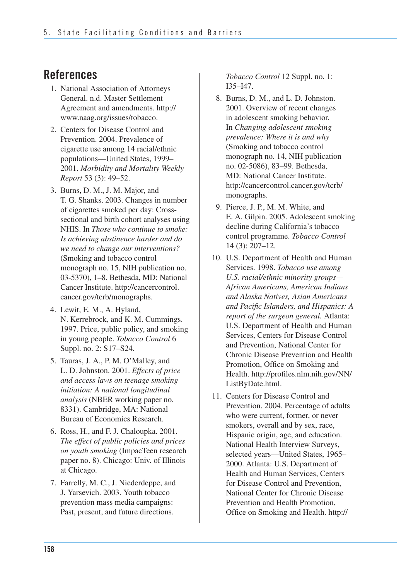### **References**

- 1. National Association of Attorneys General. n.d. Master Settlement Agreement and amendments. http:// www.naag.org/issues/tobacco.
- 2. Centers for Disease Control and Prevention. 2004. Prevalence of cigarette use among 14 racial/ethnic populations—United States, 1999– 2001. *Morbidity and Mortality Weekly Report* 53 (3): 49–52.
- T. G. Shanks. 2003. Changes in number of cigarettes smoked per day: Cross- sectional and birth cohort analyses using NHIS. In *Those who continue to smoke: Is achieving abstinence harder and do we need to change our interventions?*  (Smoking and tobacco control monograph no. 15, NIH publication no. 03-5370), 1–8. Bethesda, MD: National Cancer Institute. http://cancercontrol. 3. Burns, D. M., J. M. Major, and cancer.gov/tcrb/monographs.
- 4. Lewit, E. M., A. Hyland, N. Kerrebrock, and K. M. Cummings. 1997. Price, public policy, and smoking in young people. *Tobacco Control* 6 Suppl. no. 2: S17–S24.
- 5. Tauras, J. A., P. M. O'Malley, and L. D. Johnston. 2001. *Effects of price and access laws on teenage smoking initiation: A national longitudinal analysis* (NBER working paper no. 8331). Cambridge, MA: National Bureau of Economics Research.
- 6. Ross, H., and F. J. Chaloupka. 2001. *The effect of public policies and prices on youth smoking* (ImpacTeen research paper no. 8). Chicago: Univ. of Illinois at Chicago.
- 7. Farrelly, M. C., J. Niederdeppe, and J. Yarsevich. 2003. Youth tobacco prevention mass media campaigns: Past, present, and future directions.

*Tobacco Control* 12 Suppl. no. 1: I35–I47.

- 8. Burns, D. M., and L. D. Johnston. 2001. Overview of recent changes in adolescent smoking behavior. In *Changing adolescent smoking prevalence: Where it is and why* (Smoking and tobacco control monograph no. 14, NIH publication no. 02-5086), 83–99. Bethesda, MD: National Cancer Institute. http://cancercontrol.cancer.gov/tcrb/ monographs.
- 9. Pierce, J. P., M. M. White, and E. A. Gilpin. 2005. Adolescent smoking decline during California's tobacco control programme. *Tobacco Control*  14 (3): 207–12.
- 10. U.S. Department of Health and Human Services. 1998. *Tobacco use among U.S. racial/ethnic minority groups— African Americans, American Indians and Alaska Natives, Asian Americans and Pacific Islanders, and Hispanics: A report of the surgeon general.* Atlanta: U.S. Department of Health and Human Services, Centers for Disease Control and Prevention, National Center for Chronic Disease Prevention and Health Promotion, Office on Smoking and Health. http://profiles.nlm.nih.gov/NN/ ListByDate.html.
- 11. Centers for Disease Control and Prevention. 2004. Percentage of adults who were current, former, or never smokers, overall and by sex, race, Hispanic origin, age, and education. National Health Interview Surveys, selected years—United States, 1965– 2000. Atlanta: U.S. Department of Health and Human Services, Centers for Disease Control and Prevention, National Center for Chronic Disease Prevention and Health Promotion, Office on Smoking and Health. http://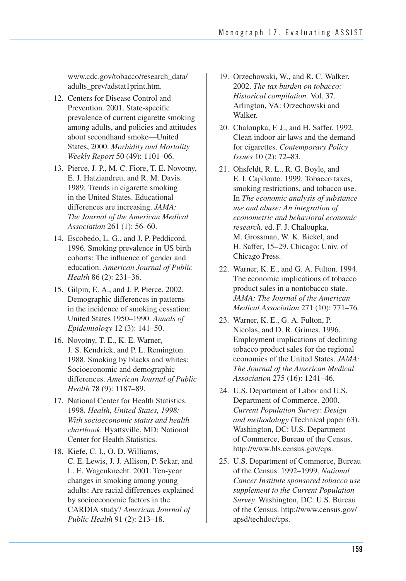www.cdc.gov/tobacco/research\_data/ adults\_prev/adstat1print.htm.

- 12. Centers for Disease Control and Prevention. 2001. State-specific prevalence of current cigarette smoking among adults, and policies and attitudes about secondhand smoke—United States, 2000. *Morbidity and Mortality Weekly Report* 50 (49): 1101–06.
- 13. Pierce, J. P., M. C. Fiore, T. E. Novotny, E. J. Hatziandreu, and R. M. Davis. 1989. Trends in cigarette smoking in the United States. Educational differences are increasing. *JAMA: The Journal of the American Medical Association* 261 (1): 56–60.
- 14. Escobedo, L. G., and J. P. Peddicord. 1996. Smoking prevalence in US birth cohorts: The influence of gender and education. *American Journal of Public Health* 86 (2): 231–36.
- 15. Gilpin, E. A., and J. P. Pierce. 2002. Demographic differences in patterns in the incidence of smoking cessation: United States 1950–1990. *Annals of Epidemiology* 12 (3): 141–50.
- 16. Novotny, T. E., K. E. Warner, J. S. Kendrick, and P. L. Remington. 1988. Smoking by blacks and whites: Socioeconomic and demographic differences. *American Journal of Public Health* 78 (9): 1187–89.
- 17. National Center for Health Statistics. 1998. *Health, United States, 1998: With socioeconomic status and health chartbook.* Hyattsville, MD: National Center for Health Statistics.
- 18. Kiefe, C. I., O. D. Williams, C. E. Lewis, J. J. Allison, P. Sekar, and L. E. Wagenknecht. 2001. Ten-year changes in smoking among young adults: Are racial differences explained by socioeconomic factors in the CARDIA study? *American Journal of Public Health* 91 (2): 213–18.
- 19. Orzechowski, W., and R. C. Walker. 2002. *The tax burden on tobacco: Historical compilation.* Vol. 37. Arlington, VA: Orzechowski and Walker.
- 20. Chaloupka, F. J., and H. Saffer. 1992. Clean indoor air laws and the demand for cigarettes. *Contemporary Policy Issues* 10 (2): 72–83.
- 21. Ohsfeldt, R. L., R. G. Boyle, and E. I. Capilouto. 1999. Tobacco taxes, smoking restrictions, and tobacco use. In *The economic analysis of substance use and abuse: An integration of econometric and behavioral economic research,* ed. F. J. Chaloupka, M. Grossman, W. K. Bickel, and H. Saffer, 15–29. Chicago: Univ. of Chicago Press.
- 22. Warner, K. E., and G. A. Fulton. 1994. The economic implications of tobacco product sales in a nontobacco state. *JAMA: The Journal of the American Medical Association* 271 (10): 771–76.
- 23. Warner, K. E., G. A. Fulton, P. Nicolas, and D. R. Grimes. 1996. Employment implications of declining tobacco product sales for the regional economies of the United States. *JAMA: The Journal of the American Medical Association* 275 (16): 1241–46.
- 24. U.S. Department of Labor and U.S. Department of Commerce. 2000. *Current Population Survey: Design and methodology* (Technical paper 63). Washington, DC: U.S. Department of Commerce, Bureau of the Census. http://www.bls.census.gov/cps.
- 25. U.S. Department of Commerce, Bureau of the Census. 1992–1999. *National Cancer Institute sponsored tobacco use supplement to the Current Population Survey.* Washington, DC: U.S. Bureau of the Census. http://www.census.gov/ apsd/techdoc/cps.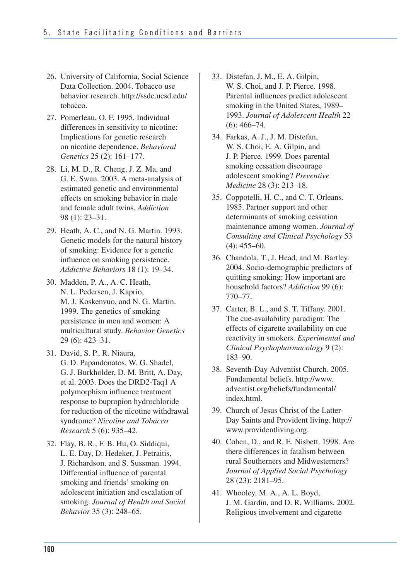- 26. University of California, Social Science Data Collection. 2004. Tobacco use behavior research. http://ssdc.ucsd.edu/ tobacco.
- 27. Pomerleau, O. F. 1995. Individual differences in sensitivity to nicotine: Implications for genetic research on nicotine dependence. *Behavioral Genetics* 25 (2): 161–177.
- 98 (1): 23–31. 28. Li, M. D., R. Cheng, J. Z. Ma, and G. E. Swan. 2003. A meta-analysis of estimated genetic and environmental effects on smoking behavior in male and female adult twins. *Addiction*
- 29. Heath, A. C., and N. G. Martin. 1993. Genetic models for the natural history of smoking: Evidence for a genetic influence on smoking persistence. *Addictive Behaviors* 18 (1): 19–34.
- 30. Madden, P. A., A. C. Heath, N. L. Pedersen, J. Kaprio, M. J. Koskenvuo, and N. G. Martin. 1999. The genetics of smoking persistence in men and women: A multicultural study. *Behavior Genetics*  29 (6): 423–31.
- 31. David, S. P., R. Niaura, G. D. Papandonatos, W. G. Shadel, G. J. Burkholder, D. M. Britt, A. Day, et al. 2003. Does the DRD2-Taq1 A polymorphism influence treatment response to bupropion hydrochloride for reduction of the nicotine withdrawal syndrome? *Nicotine and Tobacco Research* 5 (6): 935–42.
- 32. Flay, B. R., F. B. Hu, O. Siddiqui, L. E. Day, D. Hedeker, J. Petraitis, J. Richardson, and S. Sussman. 1994. Differential influence of parental smoking and friends' smoking on adolescent initiation and escalation of smoking. *Journal of Health and Social Behavior* 35 (3): 248–65.
- 33. Distefan, J. M., E. A. Gilpin, W. S. Choi, and J. P. Pierce. 1998. Parental influences predict adolescent smoking in the United States, 1989– 1993. *Journal of Adolescent Health* 22 (6): 466–74.
- 34. Farkas, A. J., J. M. Distefan, W. S. Choi, E. A. Gilpin, and J. P. Pierce. 1999. Does parental smoking cessation discourage adolescent smoking? *Preventive Medicine* 28 (3): 213–18.
- 35. Coppotelli, H. C., and C. T. Orleans. 1985. Partner support and other determinants of smoking cessation maintenance among women. *Journal of Consulting and Clinical Psychology* 53 (4): 455–60.
- 36. Chandola, T., J. Head, and M. Bartley. 2004. Socio-demographic predictors of quitting smoking: How important are household factors? *Addiction* 99 (6): 770–77.
- 37. Carter, B. L., and S. T. Tiffany. 2001. The cue-availability paradigm: The effects of cigarette availability on cue reactivity in smokers. *Experimental and Clinical Psychopharmacology* 9 (2): 183–90.
- 38. Seventh-Day Adventist Church. 2005. Fundamental beliefs. http://www. adventist.org/beliefs/fundamental/ index.html.
- 39. Church of Jesus Christ of the Latter-Day Saints and Provident living. http:// www.providentliving.org.
- 40. Cohen, D., and R. E. Nisbett. 1998. Are there differences in fatalism between rural Southerners and Midwesterners? *Journal of Applied Social Psychology*  28 (23): 2181–95.
- 41. Whooley, M. A., A. L. Boyd, J. M. Gardin, and D. R. Williams. 2002. Religious involvement and cigarette